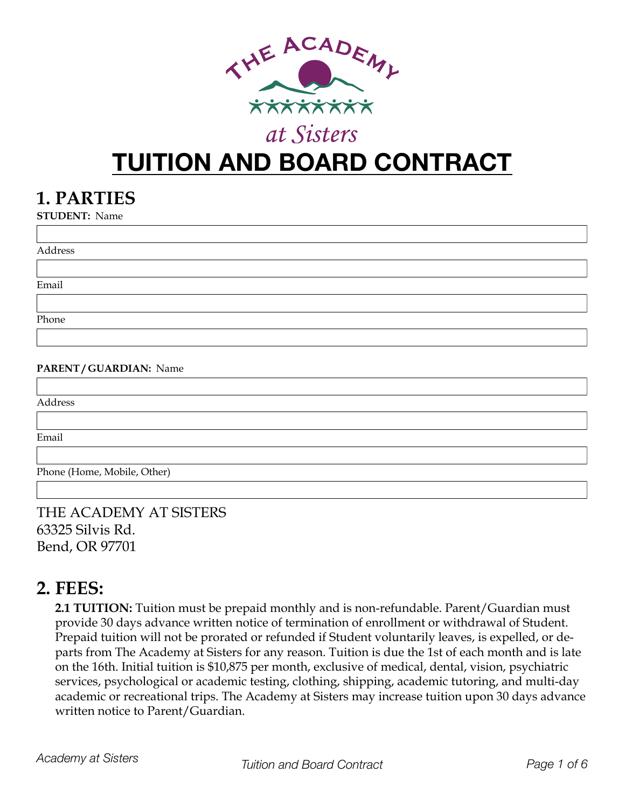

# **TUITION AND BOARD CONTRACT**

#### **1. PARTIES**

**STUDENT:** Name

| Address                |  |
|------------------------|--|
|                        |  |
| Email                  |  |
|                        |  |
| Phone                  |  |
|                        |  |
| PARENT/GUARDIAN: Name  |  |
|                        |  |
| $A$ $\Delta$ $\mu$ 000 |  |

Address

Email

Phone (Home, Mobile, Other)

THE ACADEMY AT SISTERS 63325 Silvis Rd. Bend, OR 97701

#### **2. FEES:**

**2.1 TUITION:** Tuition must be prepaid monthly and is non-refundable. Parent/Guardian must provide 30 days advance written notice of termination of enrollment or withdrawal of Student. Prepaid tuition will not be prorated or refunded if Student voluntarily leaves, is expelled, or departs from The Academy at Sisters for any reason. Tuition is due the 1st of each month and is late on the 16th. Initial tuition is \$10,875 per month, exclusive of medical, dental, vision, psychiatric services, psychological or academic testing, clothing, shipping, academic tutoring, and multi-day academic or recreational trips. The Academy at Sisters may increase tuition upon 30 days advance written notice to Parent/Guardian.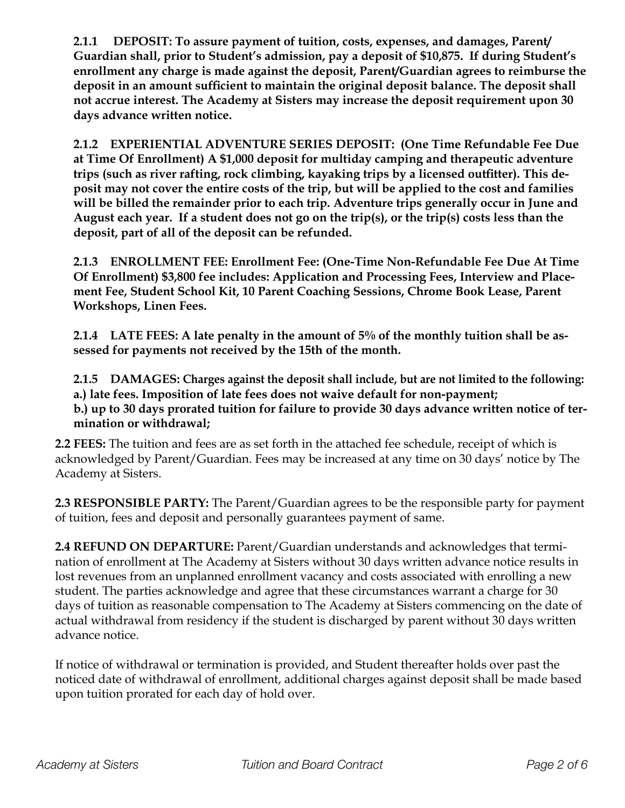**2.1.1 DEPOSIT: To assure payment of tuition, costs, expenses, and damages, Parent/ Guardian shall, prior to Student's admission, pay a deposit of \$10,875. If during Student's enrollment any charge is made against the deposit, Parent/Guardian agrees to reimburse the deposit in an amount sufficient to maintain the original deposit balance. The deposit shall not accrue interest. The Academy at Sisters may increase the deposit requirement upon 30 days advance written notice.**

**2.1.2 EXPERIENTIAL ADVENTURE SERIES DEPOSIT: (One Time Refundable Fee Due at Time Of Enrollment) A \$1,000 deposit for multiday camping and therapeutic adventure trips (such as river rafting, rock climbing, kayaking trips by a licensed outfitter). This deposit may not cover the entire costs of the trip, but will be applied to the cost and families will be billed the remainder prior to each trip. Adventure trips generally occur in June and August each year. If a student does not go on the trip(s), or the trip(s) costs less than the deposit, part of all of the deposit can be refunded.** 

**2.1.3 ENROLLMENT FEE: Enrollment Fee: (One-Time Non-Refundable Fee Due At Time Of Enrollment) \$3,800 fee includes: Application and Processing Fees, Interview and Placement Fee, Student School Kit, 10 Parent Coaching Sessions, Chrome Book Lease, Parent Workshops, Linen Fees.** 

**2.1.4 LATE FEES: A late penalty in the amount of 5% of the monthly tuition shall be assessed for payments not received by the 15th of the month.**

**2.1.5 DAMAGES: Charges against the deposit shall include, but are not limited to the following: a.) late fees. Imposition of late fees does not waive default for non-payment; b.) up to 30 days prorated tuition for failure to provide 30 days advance written notice of termination or withdrawal;**

**2.2 FEES:** The tuition and fees are as set forth in the attached fee schedule, receipt of which is acknowledged by Parent/Guardian. Fees may be increased at any time on 30 days' notice by The Academy at Sisters.

**2.3 RESPONSIBLE PARTY:** The Parent/Guardian agrees to be the responsible party for payment of tuition, fees and deposit and personally guarantees payment of same.

**2.4 REFUND ON DEPARTURE:** Parent/Guardian understands and acknowledges that termination of enrollment at The Academy at Sisters without 30 days written advance notice results in lost revenues from an unplanned enrollment vacancy and costs associated with enrolling a new student. The parties acknowledge and agree that these circumstances warrant a charge for 30 days of tuition as reasonable compensation to The Academy at Sisters commencing on the date of actual withdrawal from residency if the student is discharged by parent without 30 days written advance notice.

If notice of withdrawal or termination is provided, and Student thereafter holds over past the noticed date of withdrawal of enrollment, additional charges against deposit shall be made based upon tuition prorated for each day of hold over.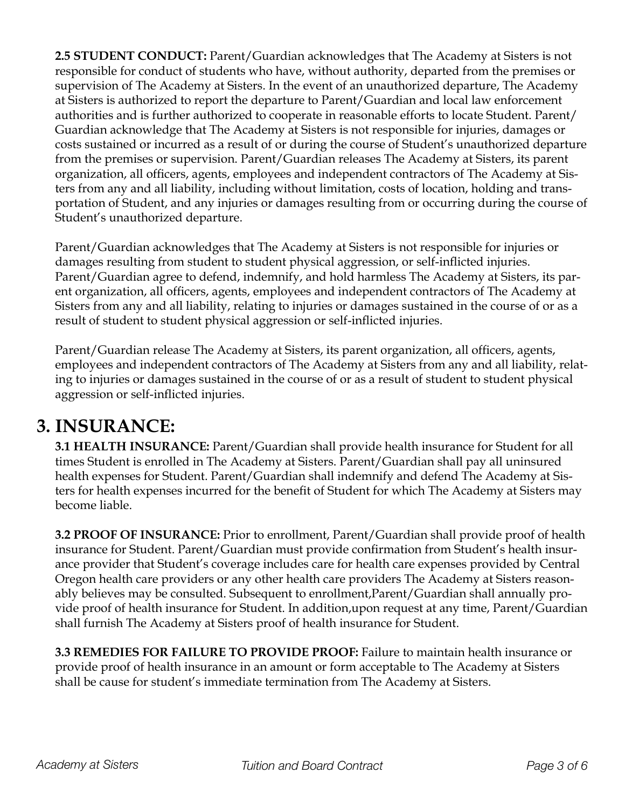**2.5 STUDENT CONDUCT:** Parent/Guardian acknowledges that The Academy at Sisters is not responsible for conduct of students who have, without authority, departed from the premises or supervision of The Academy at Sisters. In the event of an unauthorized departure, The Academy at Sisters is authorized to report the departure to Parent/Guardian and local law enforcement authorities and is further authorized to cooperate in reasonable efforts to locate Student. Parent/ Guardian acknowledge that The Academy at Sisters is not responsible for injuries, damages or costs sustained or incurred as a result of or during the course of Student's unauthorized departure from the premises or supervision. Parent/Guardian releases The Academy at Sisters, its parent organization, all officers, agents, employees and independent contractors of The Academy at Sisters from any and all liability, including without limitation, costs of location, holding and transportation of Student, and any injuries or damages resulting from or occurring during the course of Student's unauthorized departure.

Parent/Guardian acknowledges that The Academy at Sisters is not responsible for injuries or damages resulting from student to student physical aggression, or self-inflicted injuries. Parent/Guardian agree to defend, indemnify, and hold harmless The Academy at Sisters, its parent organization, all officers, agents, employees and independent contractors of The Academy at Sisters from any and all liability, relating to injuries or damages sustained in the course of or as a result of student to student physical aggression or self-inflicted injuries.

Parent/Guardian release The Academy at Sisters, its parent organization, all officers, agents, employees and independent contractors of The Academy at Sisters from any and all liability, relating to injuries or damages sustained in the course of or as a result of student to student physical aggression or self-inflicted injuries.

#### **3. INSURANCE:**

**3.1 HEALTH INSURANCE:** Parent/Guardian shall provide health insurance for Student for all times Student is enrolled in The Academy at Sisters. Parent/Guardian shall pay all uninsured health expenses for Student. Parent/Guardian shall indemnify and defend The Academy at Sisters for health expenses incurred for the benefit of Student for which The Academy at Sisters may become liable.

**3.2 PROOF OF INSURANCE:** Prior to enrollment, Parent/Guardian shall provide proof of health insurance for Student. Parent/Guardian must provide confirmation from Student's health insurance provider that Student's coverage includes care for health care expenses provided by Central Oregon health care providers or any other health care providers The Academy at Sisters reasonably believes may be consulted. Subsequent to enrollment,Parent/Guardian shall annually provide proof of health insurance for Student. In addition,upon request at any time, Parent/Guardian shall furnish The Academy at Sisters proof of health insurance for Student.

**3.3 REMEDIES FOR FAILURE TO PROVIDE PROOF:** Failure to maintain health insurance or provide proof of health insurance in an amount or form acceptable to The Academy at Sisters shall be cause for student's immediate termination from The Academy at Sisters.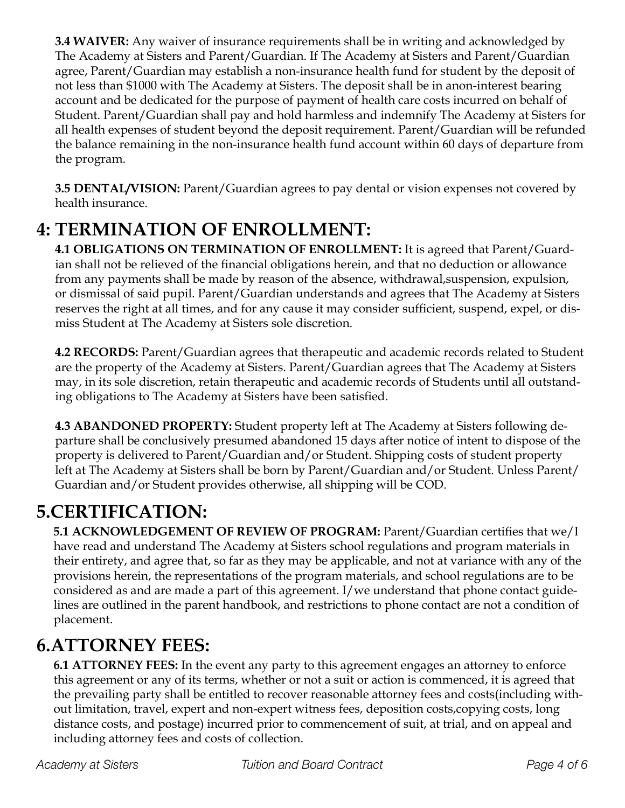**3.4 WAIVER:** Any waiver of insurance requirements shall be in writing and acknowledged by The Academy at Sisters and Parent/Guardian. If The Academy at Sisters and Parent/Guardian agree, Parent/Guardian may establish a non-insurance health fund for student by the deposit of not less than \$1000 with The Academy at Sisters. The deposit shall be in anon-interest bearing account and be dedicated for the purpose of payment of health care costs incurred on behalf of Student. Parent/Guardian shall pay and hold harmless and indemnify The Academy at Sisters for all health expenses of student beyond the deposit requirement. Parent/Guardian will be refunded the balance remaining in the non-insurance health fund account within 60 days of departure from the program.

**3.5 DENTAL/VISION:** Parent/Guardian agrees to pay dental or vision expenses not covered by health insurance.

## **4: TERMINATION OF ENROLLMENT:**

**4.1 OBLIGATIONS ON TERMINATION OF ENROLLMENT:** It is agreed that Parent/Guardian shall not be relieved of the financial obligations herein, and that no deduction or allowance from any payments shall be made by reason of the absence, withdrawal,suspension, expulsion, or dismissal of said pupil. Parent/Guardian understands and agrees that The Academy at Sisters reserves the right at all times, and for any cause it may consider sufficient, suspend, expel, or dismiss Student at The Academy at Sisters sole discretion.

**4.2 RECORDS:** Parent/Guardian agrees that therapeutic and academic records related to Student are the property of the Academy at Sisters. Parent/Guardian agrees that The Academy at Sisters may, in its sole discretion, retain therapeutic and academic records of Students until all outstanding obligations to The Academy at Sisters have been satisfied.

**4.3 ABANDONED PROPERTY:** Student property left at The Academy at Sisters following departure shall be conclusively presumed abandoned 15 days after notice of intent to dispose of the property is delivered to Parent/Guardian and/or Student. Shipping costs of student property left at The Academy at Sisters shall be born by Parent/Guardian and/or Student. Unless Parent/ Guardian and/or Student provides otherwise, all shipping will be COD.

## **5.CERTIFICATION:**

**5.1 ACKNOWLEDGEMENT OF REVIEW OF PROGRAM:** Parent/Guardian certifies that we/I have read and understand The Academy at Sisters school regulations and program materials in their entirety, and agree that, so far as they may be applicable, and not at variance with any of the provisions herein, the representations of the program materials, and school regulations are to be considered as and are made a part of this agreement. I/we understand that phone contact guidelines are outlined in the parent handbook, and restrictions to phone contact are not a condition of placement.

## **6.ATTORNEY FEES:**

**6.1 ATTORNEY FEES:** In the event any party to this agreement engages an attorney to enforce this agreement or any of its terms, whether or not a suit or action is commenced, it is agreed that the prevailing party shall be entitled to recover reasonable attorney fees and costs(including without limitation, travel, expert and non-expert witness fees, deposition costs,copying costs, long distance costs, and postage) incurred prior to commencement of suit, at trial, and on appeal and including attorney fees and costs of collection.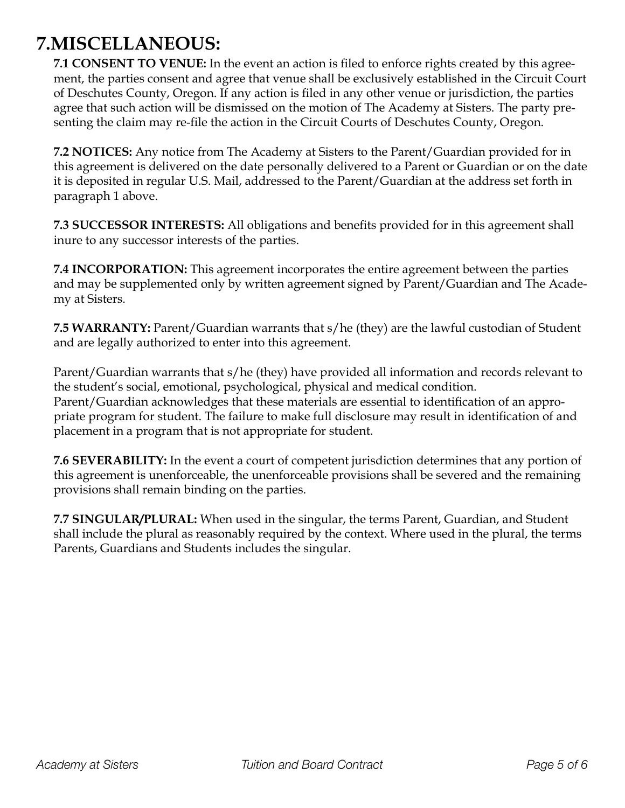#### **7.MISCELLANEOUS:**

**7.1 CONSENT TO VENUE:** In the event an action is filed to enforce rights created by this agreement, the parties consent and agree that venue shall be exclusively established in the Circuit Court of Deschutes County, Oregon. If any action is filed in any other venue or jurisdiction, the parties agree that such action will be dismissed on the motion of The Academy at Sisters. The party presenting the claim may re-file the action in the Circuit Courts of Deschutes County, Oregon.

**7.2 NOTICES:** Any notice from The Academy at Sisters to the Parent/Guardian provided for in this agreement is delivered on the date personally delivered to a Parent or Guardian or on the date it is deposited in regular U.S. Mail, addressed to the Parent/Guardian at the address set forth in paragraph 1 above.

**7.3 SUCCESSOR INTERESTS:** All obligations and benefits provided for in this agreement shall inure to any successor interests of the parties.

**7.4 INCORPORATION:** This agreement incorporates the entire agreement between the parties and may be supplemented only by written agreement signed by Parent/Guardian and The Academy at Sisters.

**7.5 WARRANTY:** Parent/Guardian warrants that s/he (they) are the lawful custodian of Student and are legally authorized to enter into this agreement.

Parent/Guardian warrants that s/he (they) have provided all information and records relevant to the student's social, emotional, psychological, physical and medical condition. Parent/Guardian acknowledges that these materials are essential to identification of an appropriate program for student. The failure to make full disclosure may result in identification of and placement in a program that is not appropriate for student.

**7.6 SEVERABILITY:** In the event a court of competent jurisdiction determines that any portion of this agreement is unenforceable, the unenforceable provisions shall be severed and the remaining provisions shall remain binding on the parties.

**7.7 SINGULAR/PLURAL:** When used in the singular, the terms Parent, Guardian, and Student shall include the plural as reasonably required by the context. Where used in the plural, the terms Parents, Guardians and Students includes the singular.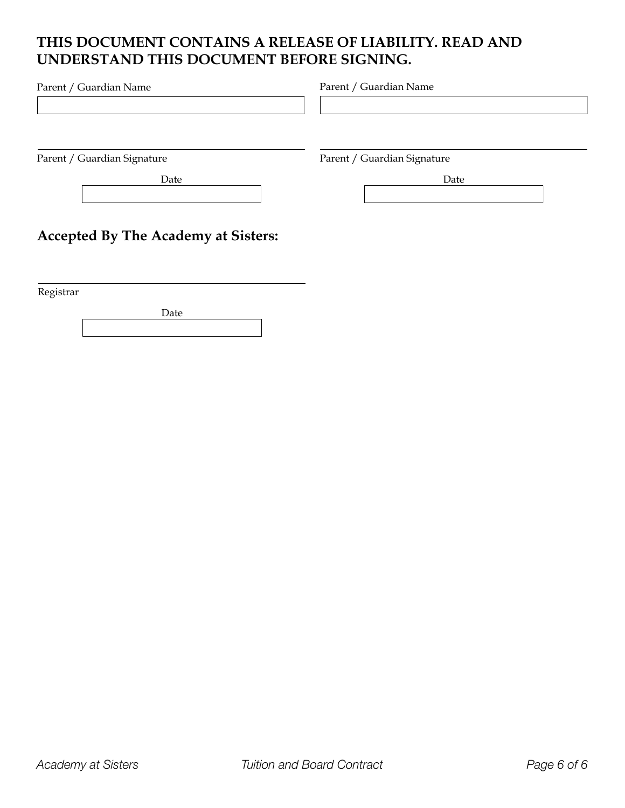#### **THIS DOCUMENT CONTAINS A RELEASE OF LIABILITY. READ AND UNDERSTAND THIS DOCUMENT BEFORE SIGNING.**

| Parent / Guardian Name                     | Parent / Guardian Name      |  |
|--------------------------------------------|-----------------------------|--|
|                                            |                             |  |
| Parent / Guardian Signature                | Parent / Guardian Signature |  |
| Date                                       | Date                        |  |
| <b>Accepted By The Academy at Sisters:</b> |                             |  |

Registrar

Date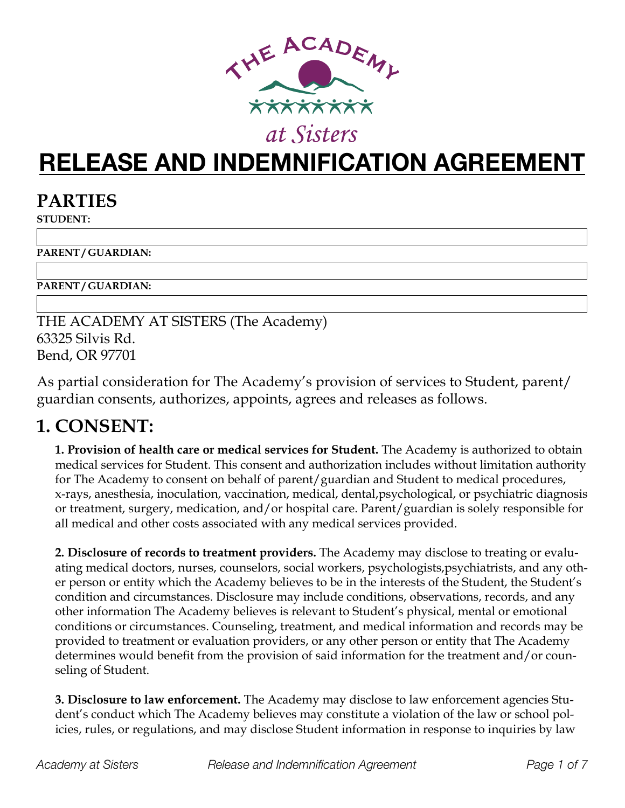

# **RELEASE AND INDEMNIFICATION AGREEMENT**

#### **PARTIES**

**STUDENT:** 

**PARENT / GUARDIAN:** 

**PARENT / GUARDIAN:** 

THE ACADEMY AT SISTERS (The Academy) 63325 Silvis Rd. Bend, OR 97701

As partial consideration for The Academy's provision of services to Student, parent/ guardian consents, authorizes, appoints, agrees and releases as follows.

#### **1. CONSENT:**

**1. Provision of health care or medical services for Student.** The Academy is authorized to obtain medical services for Student. This consent and authorization includes without limitation authority for The Academy to consent on behalf of parent/guardian and Student to medical procedures, x-rays, anesthesia, inoculation, vaccination, medical, dental,psychological, or psychiatric diagnosis or treatment, surgery, medication, and/or hospital care. Parent/guardian is solely responsible for all medical and other costs associated with any medical services provided.

**2. Disclosure of records to treatment providers.** The Academy may disclose to treating or evaluating medical doctors, nurses, counselors, social workers, psychologists,psychiatrists, and any other person or entity which the Academy believes to be in the interests of the Student, the Student's condition and circumstances. Disclosure may include conditions, observations, records, and any other information The Academy believes is relevant to Student's physical, mental or emotional conditions or circumstances. Counseling, treatment, and medical information and records may be provided to treatment or evaluation providers, or any other person or entity that The Academy determines would benefit from the provision of said information for the treatment and/or counseling of Student.

**3. Disclosure to law enforcement.** The Academy may disclose to law enforcement agencies Student's conduct which The Academy believes may constitute a violation of the law or school policies, rules, or regulations, and may disclose Student information in response to inquiries by law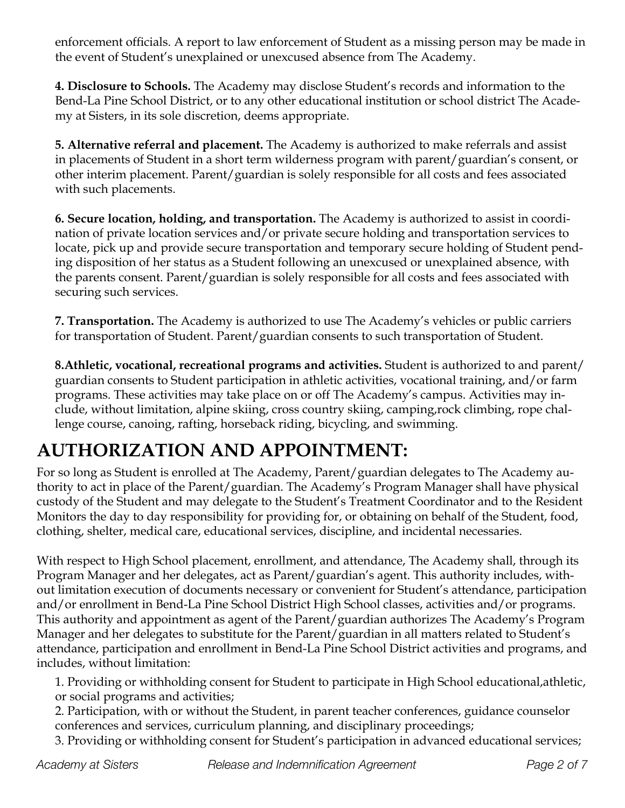enforcement officials. A report to law enforcement of Student as a missing person may be made in the event of Student's unexplained or unexcused absence from The Academy.

**4. Disclosure to Schools.** The Academy may disclose Student's records and information to the Bend-La Pine School District, or to any other educational institution or school district The Academy at Sisters, in its sole discretion, deems appropriate.

**5. Alternative referral and placement.** The Academy is authorized to make referrals and assist in placements of Student in a short term wilderness program with parent/guardian's consent, or other interim placement. Parent/guardian is solely responsible for all costs and fees associated with such placements.

**6. Secure location, holding, and transportation.** The Academy is authorized to assist in coordination of private location services and/or private secure holding and transportation services to locate, pick up and provide secure transportation and temporary secure holding of Student pending disposition of her status as a Student following an unexcused or unexplained absence, with the parents consent. Parent/guardian is solely responsible for all costs and fees associated with securing such services.

**7. Transportation.** The Academy is authorized to use The Academy's vehicles or public carriers for transportation of Student. Parent/guardian consents to such transportation of Student.

**8.Athletic, vocational, recreational programs and activities.** Student is authorized to and parent/ guardian consents to Student participation in athletic activities, vocational training, and/or farm programs. These activities may take place on or off The Academy's campus. Activities may include, without limitation, alpine skiing, cross country skiing, camping,rock climbing, rope challenge course, canoing, rafting, horseback riding, bicycling, and swimming.

# **AUTHORIZATION AND APPOINTMENT:**

For so long as Student is enrolled at The Academy, Parent/guardian delegates to The Academy authority to act in place of the Parent/guardian. The Academy's Program Manager shall have physical custody of the Student and may delegate to the Student's Treatment Coordinator and to the Resident Monitors the day to day responsibility for providing for, or obtaining on behalf of the Student, food, clothing, shelter, medical care, educational services, discipline, and incidental necessaries.

With respect to High School placement, enrollment, and attendance, The Academy shall, through its Program Manager and her delegates, act as Parent/guardian's agent. This authority includes, without limitation execution of documents necessary or convenient for Student's attendance, participation and/or enrollment in Bend-La Pine School District High School classes, activities and/or programs. This authority and appointment as agent of the Parent/guardian authorizes The Academy's Program Manager and her delegates to substitute for the Parent/guardian in all matters related to Student's attendance, participation and enrollment in Bend-La Pine School District activities and programs, and includes, without limitation:

1. Providing or withholding consent for Student to participate in High School educational,athletic, or social programs and activities;

2. Participation, with or without the Student, in parent teacher conferences, guidance counselor conferences and services, curriculum planning, and disciplinary proceedings;

3. Providing or withholding consent for Student's participation in advanced educational services;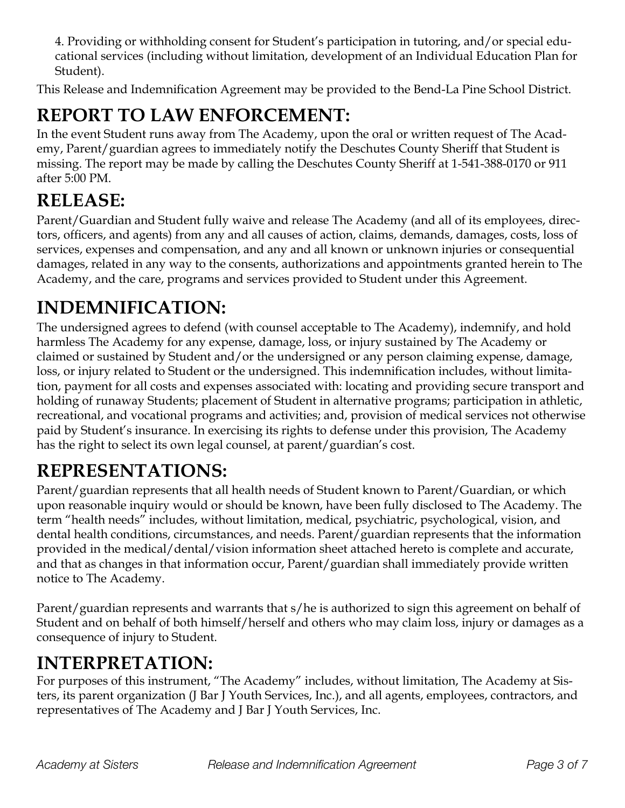4. Providing or withholding consent for Student's participation in tutoring, and/or special educational services (including without limitation, development of an Individual Education Plan for Student).

This Release and Indemnification Agreement may be provided to the Bend-La Pine School District.

# **REPORT TO LAW ENFORCEMENT:**

In the event Student runs away from The Academy, upon the oral or written request of The Academy, Parent/guardian agrees to immediately notify the Deschutes County Sheriff that Student is missing. The report may be made by calling the Deschutes County Sheriff at 1-541-388-0170 or 911 after 5:00 PM.

## **RELEASE:**

Parent/Guardian and Student fully waive and release The Academy (and all of its employees, directors, officers, and agents) from any and all causes of action, claims, demands, damages, costs, loss of services, expenses and compensation, and any and all known or unknown injuries or consequential damages, related in any way to the consents, authorizations and appointments granted herein to The Academy, and the care, programs and services provided to Student under this Agreement.

# **INDEMNIFICATION:**

The undersigned agrees to defend (with counsel acceptable to The Academy), indemnify, and hold harmless The Academy for any expense, damage, loss, or injury sustained by The Academy or claimed or sustained by Student and/or the undersigned or any person claiming expense, damage, loss, or injury related to Student or the undersigned. This indemnification includes, without limitation, payment for all costs and expenses associated with: locating and providing secure transport and holding of runaway Students; placement of Student in alternative programs; participation in athletic, recreational, and vocational programs and activities; and, provision of medical services not otherwise paid by Student's insurance. In exercising its rights to defense under this provision, The Academy has the right to select its own legal counsel, at parent/guardian's cost.

## **REPRESENTATIONS:**

Parent/guardian represents that all health needs of Student known to Parent/Guardian, or which upon reasonable inquiry would or should be known, have been fully disclosed to The Academy. The term "health needs" includes, without limitation, medical, psychiatric, psychological, vision, and dental health conditions, circumstances, and needs. Parent/guardian represents that the information provided in the medical/dental/vision information sheet attached hereto is complete and accurate, and that as changes in that information occur, Parent/guardian shall immediately provide written notice to The Academy.

Parent/guardian represents and warrants that s/he is authorized to sign this agreement on behalf of Student and on behalf of both himself/herself and others who may claim loss, injury or damages as a consequence of injury to Student.

#### **INTERPRETATION:**

For purposes of this instrument, "The Academy" includes, without limitation, The Academy at Sisters, its parent organization (J Bar J Youth Services, Inc.), and all agents, employees, contractors, and representatives of The Academy and J Bar J Youth Services, Inc.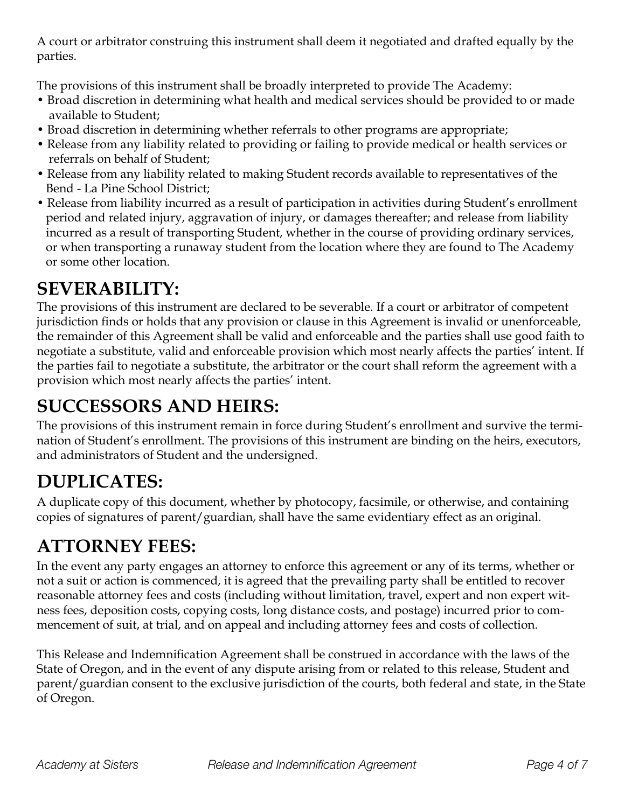A court or arbitrator construing this instrument shall deem it negotiated and drafted equally by the parties.

The provisions of this instrument shall be broadly interpreted to provide The Academy:

- Broad discretion in determining what health and medical services should be provided to or made available to Student;
- Broad discretion in determining whether referrals to other programs are appropriate;
- Release from any liability related to providing or failing to provide medical or health services or referrals on behalf of Student;
- Release from any liability related to making Student records available to representatives of the Bend - La Pine School District;
- Release from liability incurred as a result of participation in activities during Student's enrollment period and related injury, aggravation of injury, or damages thereafter; and release from liability incurred as a result of transporting Student, whether in the course of providing ordinary services, or when transporting a runaway student from the location where they are found to The Academy or some other location.

## **SEVERABILITY:**

The provisions of this instrument are declared to be severable. If a court or arbitrator of competent jurisdiction finds or holds that any provision or clause in this Agreement is invalid or unenforceable, the remainder of this Agreement shall be valid and enforceable and the parties shall use good faith to negotiate a substitute, valid and enforceable provision which most nearly affects the parties' intent. If the parties fail to negotiate a substitute, the arbitrator or the court shall reform the agreement with a provision which most nearly affects the parties' intent.

## **SUCCESSORS AND HEIRS:**

The provisions of this instrument remain in force during Student's enrollment and survive the termination of Student's enrollment. The provisions of this instrument are binding on the heirs, executors, and administrators of Student and the undersigned.

# **DUPLICATES:**

A duplicate copy of this document, whether by photocopy, facsimile, or otherwise, and containing copies of signatures of parent/guardian, shall have the same evidentiary effect as an original.

## **ATTORNEY FEES:**

In the event any party engages an attorney to enforce this agreement or any of its terms, whether or not a suit or action is commenced, it is agreed that the prevailing party shall be entitled to recover reasonable attorney fees and costs (including without limitation, travel, expert and non expert witness fees, deposition costs, copying costs, long distance costs, and postage) incurred prior to commencement of suit, at trial, and on appeal and including attorney fees and costs of collection.

This Release and Indemnification Agreement shall be construed in accordance with the laws of the State of Oregon, and in the event of any dispute arising from or related to this release, Student and parent/guardian consent to the exclusive jurisdiction of the courts, both federal and state, in the State of Oregon.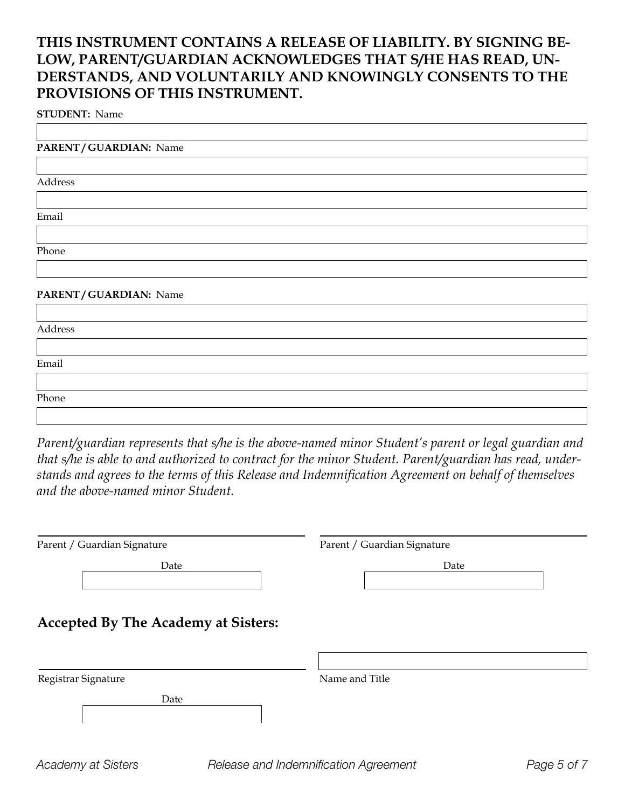#### **THIS INSTRUMENT CONTAINS A RELEASE OF LIABILITY. BY SIGNING BE-LOW, PARENT/GUARDIAN ACKNOWLEDGES THAT S/HE HAS READ, UN-DERSTANDS, AND VOLUNTARILY AND KNOWINGLY CONSENTS TO THE PROVISIONS OF THIS INSTRUMENT.**

**STUDENT:** Name

| PARENT/GUARDIAN: Name |  |  |
|-----------------------|--|--|
|                       |  |  |
| Address               |  |  |
|                       |  |  |
| Email                 |  |  |
|                       |  |  |
| Phone                 |  |  |
|                       |  |  |
| PARENT/GUARDIAN: Name |  |  |
|                       |  |  |
| Address               |  |  |
|                       |  |  |
| Email                 |  |  |
|                       |  |  |
| Phone                 |  |  |

*Parent/guardian represents that s/he is the above-named minor Student's parent or legal guardian and that s/he is able to and authorized to contract for the minor Student. Parent/guardian has read, understands and agrees to the terms of this Release and Indemnification Agreement on behalf of themselves and the above-named minor Student.*

| Parent / Guardian Signature                | Parent / Guardian Signature |  |
|--------------------------------------------|-----------------------------|--|
| Date                                       | Date                        |  |
| <b>Accepted By The Academy at Sisters:</b> |                             |  |
| Registrar Signature                        | Name and Title              |  |
| Date                                       |                             |  |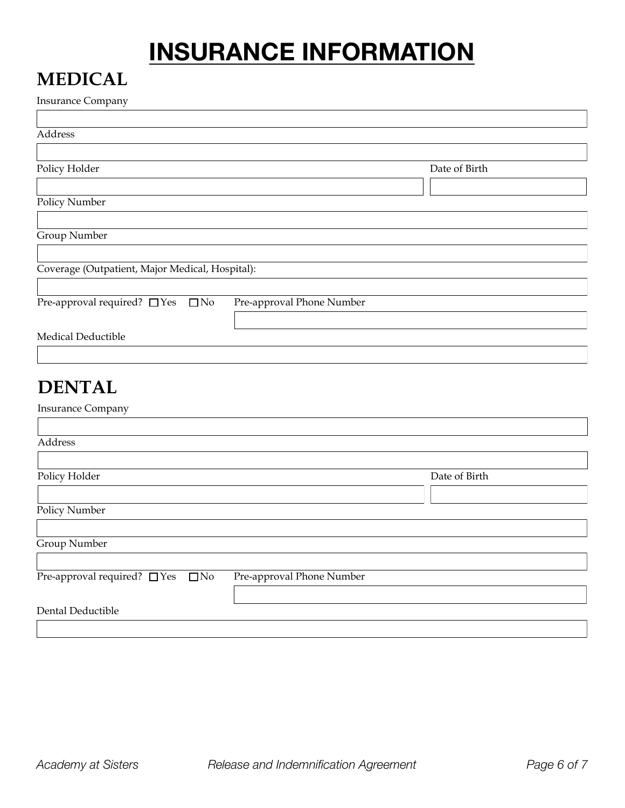# **INSURANCE INFORMATION**

### **MEDICAL**

| <b>Insurance Company</b>                        |                           |               |
|-------------------------------------------------|---------------------------|---------------|
|                                                 |                           |               |
| Address                                         |                           |               |
|                                                 |                           |               |
| Policy Holder                                   |                           | Date of Birth |
|                                                 |                           |               |
|                                                 |                           |               |
| Policy Number                                   |                           |               |
|                                                 |                           |               |
| Group Number                                    |                           |               |
|                                                 |                           |               |
| Coverage (Outpatient, Major Medical, Hospital): |                           |               |
|                                                 |                           |               |
| Pre-approval required? $\Box$ Yes<br>$\Box$ No  | Pre-approval Phone Number |               |
|                                                 |                           |               |
|                                                 |                           |               |
| Medical Deductible                              |                           |               |
|                                                 |                           |               |
|                                                 |                           |               |
| <b>DENTAL</b>                                   |                           |               |
| <b>Insurance Company</b>                        |                           |               |
|                                                 |                           |               |
|                                                 |                           |               |
| Address                                         |                           |               |
|                                                 |                           |               |
| Policy Holder                                   |                           | Date of Birth |
|                                                 |                           |               |
| <b>Policy Number</b>                            |                           |               |
|                                                 |                           |               |
| Group Number                                    |                           |               |
|                                                 |                           |               |
| Pre-approval required? □ Yes<br>$\Box$ No       |                           |               |
|                                                 | Pre-approval Phone Number |               |
|                                                 |                           |               |
| Dental Deductible                               |                           |               |
|                                                 |                           |               |